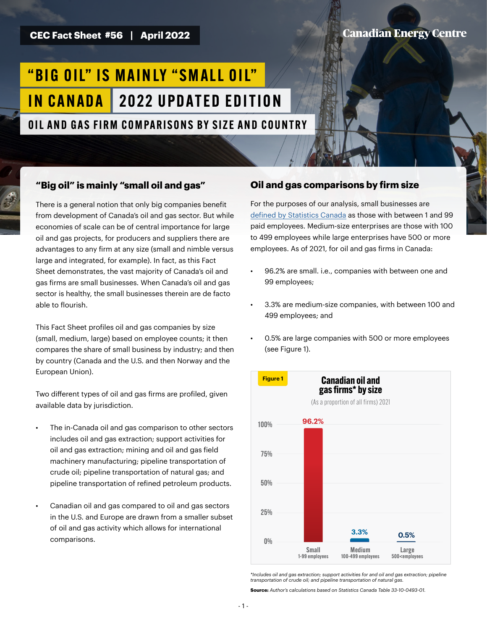**CEC Fact Sheet #56 | April 2022**

# **Canadian Energy Centre**

# "BIG OIL" IS MAINLY "SMALL OIL" IN CANADA 2022 UPDATED EDITION

OIL AND GAS FIRM COMPARISONS BY SIZE AND COUNTRY

## **"Big oil" is mainly "small oil and gas"**

There is a general notion that only big companies benefit from development of Canada's oil and gas sector. But while economies of scale can be of central importance for large oil and gas projects, for producers and suppliers there are advantages to any firm at any size (small and nimble versus large and integrated, for example). In fact, as this Fact Sheet demonstrates, the vast majority of Canada's oil and gas firms are small businesses. When Canada's oil and gas sector is healthy, the small businesses therein are de facto able to flourish.

This Fact Sheet profiles oil and gas companies by size (small, medium, large) based on employee counts; it then compares the share of small business by industry; and then by country (Canada and the U.S. and then Norway and the European Union).

Two different types of oil and gas firms are profiled, given available data by jurisdiction.

- The in-Canada oil and gas comparison to other sectors includes oil and gas extraction; support activities for oil and gas extraction; mining and oil and gas field machinery manufacturing; pipeline transportation of crude oil; pipeline transportation of natural gas; and pipeline transportation of refined petroleum products.
- Canadian oil and gas compared to oil and gas sectors in the U.S. and Europe are drawn from a smaller subset of oil and gas activity which allows for international comparisons.

## **Oil and gas comparisons by firm size**

For the purposes of our analysis, small businesses are [defined by Statistics Canada](https://www.ic.gc.ca/eic/site/061.nsf/eng/h_03147.html) as those with between 1 and 99 paid employees. Medium-size enterprises are those with 100 to 499 employees while large enterprises have 500 or more employees. As of 2021, for oil and gas firms in Canada:

- 96.2% are small. i.e., companies with between one and 99 employees;
- 3.3% are medium-size companies, with between 100 and 499 employees; and
- 0.5% are large companies with 500 or more employees (see Figure 1).



*\*Includes oil and gas extraction; support activities for and oil and gas extraction; pipeline transportation of crude oil; and pipeline transportation of natural gas.*

**Source:** *Author's calculations based on Statistics Canada Table 33-10-0493-01.*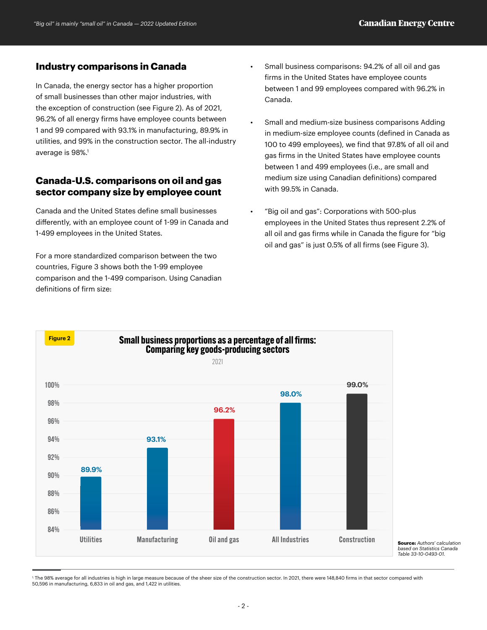#### **Industry comparisons in Canada**

In Canada, the energy sector has a higher proportion of small businesses than other major industries, with the exception of construction (see Figure 2). As of 2021, 96.2% of all energy firms have employee counts between 1 and 99 compared with 93.1% in manufacturing, 89.9% in utilities, and 99% in the construction sector. The all-industry average is 98%.<sup>1</sup>

# **Canada-U.S. comparisons on oil and gas sector company size by employee count**

Canada and the United States define small businesses differently, with an employee count of 1-99 in Canada and 1-499 employees in the United States.

For a more standardized comparison between the two countries, Figure 3 shows both the 1-99 employee comparison and the 1-499 comparison. Using Canadian definitions of firm size:

- Small business comparisons: 94.2% of all oil and gas firms in the United States have employee counts between 1 and 99 employees compared with 96.2% in Canada.
- Small and medium-size business comparisons Adding in medium-size employee counts (defined in Canada as 100 to 499 employees), we find that 97.8% of all oil and gas firms in the United States have employee counts between 1 and 499 employees (i.e., are small and medium size using Canadian definitions) compared with 99.5% in Canada.
- "Big oil and gas": Corporations with 500-plus employees in the United States thus represent 2.2% of all oil and gas firms while in Canada the figure for "big oil and gas" is just 0.5% of all firms (see Figure 3).



*based on Statistics Canada Table 33-10-0493-01.*

 $^{\circ}$ The 98% average for all industries is high in large measure because of the sheer size of the construction sector. In 2021, there were 148,840 firms in that sector compared with 50,596 in manufacturing, 6,833 in oil and gas, and 1,422 in utilities.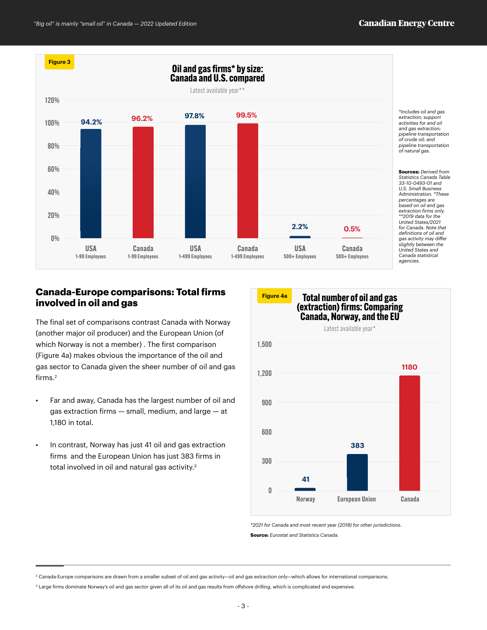

## **Canada-Europe comparisons: Total firms involved in oil and gas**

The final set of comparisons contrast Canada with Norway (another major oil producer) and the European Union (of which Norway is not a member) . The first comparison (Figure 4a) makes obvious the importance of the oil and gas sector to Canada given the sheer number of oil and gas firms.<sup>2</sup>

- Far and away, Canada has the largest number of oil and gas extraction firms — small, medium, and large — at 1,180 in total.
- In contrast, Norway has just 41 oil and gas extraction firms and the European Union has just 383 firms in total involved in oil and natural gas activity.<sup>3</sup>



*\*2021 for Canada and most recent year (2018) for other jurisdictions.* **Source:** *Eurostat and Statistics Canada.*

 $^2$  Canada-Europe comparisons are drawn from a smaller subset of oil and gas activity—oil and gas extraction only—which allows for international comparisons.

<sup>3.</sup> Large firms dominate Norway's oil and gas sector given all of its oil and gas results from offshore drilling, which is complicated and expensive.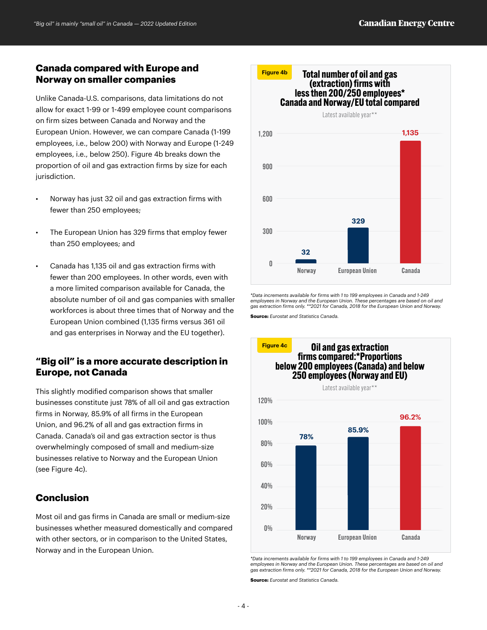#### **Canada compared with Europe and Norway on smaller companies**

Unlike Canada-U.S. comparisons, data limitations do not allow for exact 1-99 or 1-499 employee count comparisons on firm sizes between Canada and Norway and the European Union. However, we can compare Canada (1-199 employees, i.e., below 200) with Norway and Europe (1-249 employees, i.e., below 250). Figure 4b breaks down the proportion of oil and gas extraction firms by size for each jurisdiction.

- Norway has just 32 oil and gas extraction firms with fewer than 250 employees;
- The European Union has 329 firms that employ fewer than 250 employees; and
- Canada has 1,135 oil and gas extraction firms with fewer than 200 employees. In other words, even with a more limited comparison available for Canada, the absolute number of oil and gas companies with smaller workforces is about three times that of Norway and the European Union combined (1,135 firms versus 361 oil and gas enterprises in Norway and the EU together).

# **"Big oil" is a more accurate description in Europe, not Canada**

This slightly modified comparison shows that smaller businesses constitute just 78% of all oil and gas extraction firms in Norway, 85.9% of all firms in the European Union, and 96.2% of all and gas extraction firms in Canada. Canada's oil and gas extraction sector is thus overwhelmingly composed of small and medium-size businesses relative to Norway and the European Union (see Figure 4c).

## **Conclusion**

Most oil and gas firms in Canada are small or medium-size businesses whether measured domestically and compared with other sectors, or in comparison to the United States, Norway and in the European Union.



*\*Data increments available for firms with 1 to 199 employees in Canada and 1-249 employees in Norway and the European Union. These percentages are based on oil and gas extraction firms only. \*\*2021 for Canada, 2018 for the European Union and Norway.*

**Source:** *Eurostat and Statistics Canada.*



*\*Data increments available for firms with 1 to 199 employees in Canada and 1-249*  employees in Norway and the European Union. These percentages are based on oil and<br>gas extraction firms only. \*\*2021 for Canada, 2018 for the European Union and Norway.

**Source:** *Eurostat and Statistics Canada.*